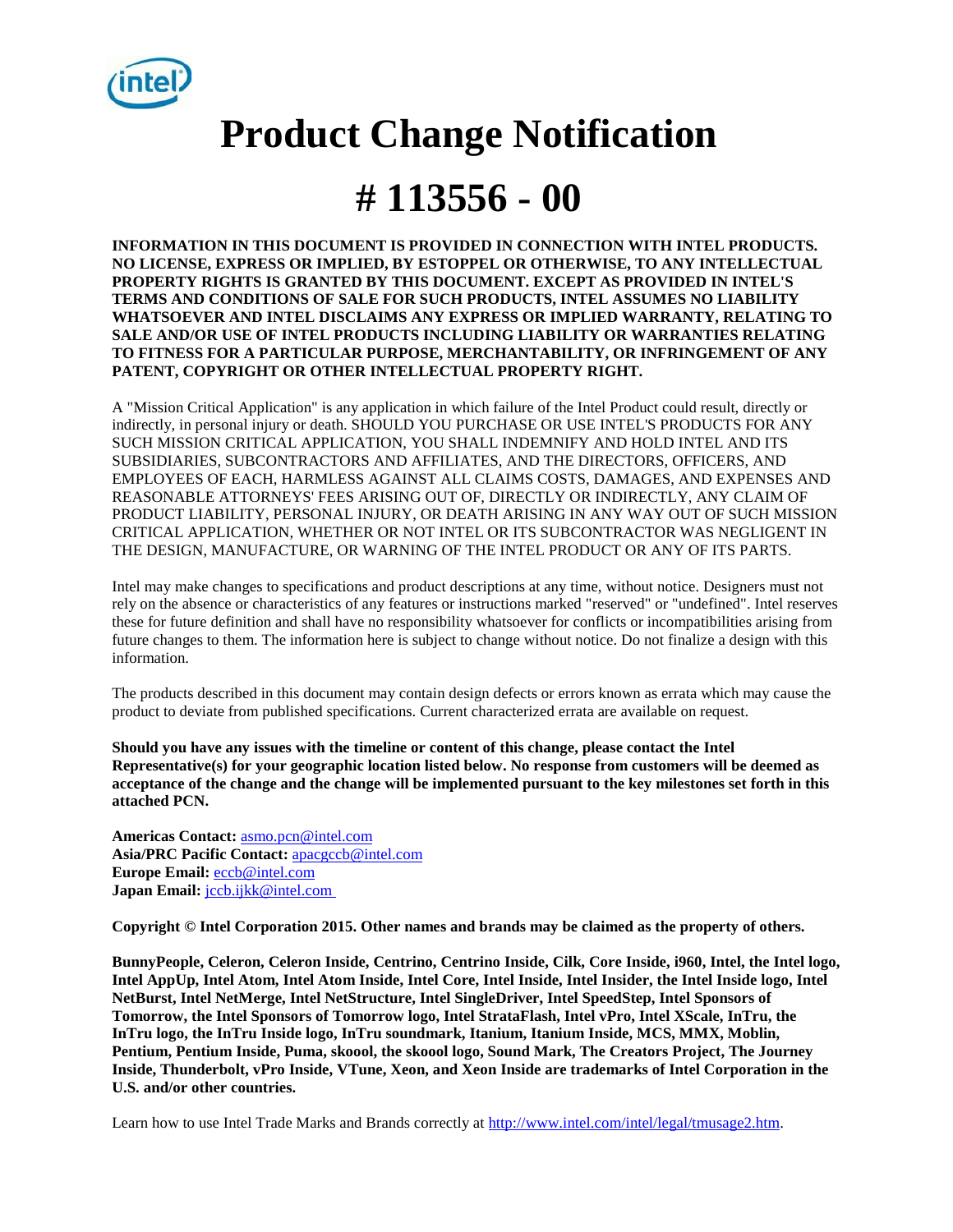

# **Product Change Notification**

# **# 113556 - 00**

**INFORMATION IN THIS DOCUMENT IS PROVIDED IN CONNECTION WITH INTEL PRODUCTS. NO LICENSE, EXPRESS OR IMPLIED, BY ESTOPPEL OR OTHERWISE, TO ANY INTELLECTUAL PROPERTY RIGHTS IS GRANTED BY THIS DOCUMENT. EXCEPT AS PROVIDED IN INTEL'S TERMS AND CONDITIONS OF SALE FOR SUCH PRODUCTS, INTEL ASSUMES NO LIABILITY WHATSOEVER AND INTEL DISCLAIMS ANY EXPRESS OR IMPLIED WARRANTY, RELATING TO SALE AND/OR USE OF INTEL PRODUCTS INCLUDING LIABILITY OR WARRANTIES RELATING TO FITNESS FOR A PARTICULAR PURPOSE, MERCHANTABILITY, OR INFRINGEMENT OF ANY PATENT, COPYRIGHT OR OTHER INTELLECTUAL PROPERTY RIGHT.** 

A "Mission Critical Application" is any application in which failure of the Intel Product could result, directly or indirectly, in personal injury or death. SHOULD YOU PURCHASE OR USE INTEL'S PRODUCTS FOR ANY SUCH MISSION CRITICAL APPLICATION, YOU SHALL INDEMNIFY AND HOLD INTEL AND ITS SUBSIDIARIES, SUBCONTRACTORS AND AFFILIATES, AND THE DIRECTORS, OFFICERS, AND EMPLOYEES OF EACH, HARMLESS AGAINST ALL CLAIMS COSTS, DAMAGES, AND EXPENSES AND REASONABLE ATTORNEYS' FEES ARISING OUT OF, DIRECTLY OR INDIRECTLY, ANY CLAIM OF PRODUCT LIABILITY, PERSONAL INJURY, OR DEATH ARISING IN ANY WAY OUT OF SUCH MISSION CRITICAL APPLICATION, WHETHER OR NOT INTEL OR ITS SUBCONTRACTOR WAS NEGLIGENT IN THE DESIGN, MANUFACTURE, OR WARNING OF THE INTEL PRODUCT OR ANY OF ITS PARTS.

Intel may make changes to specifications and product descriptions at any time, without notice. Designers must not rely on the absence or characteristics of any features or instructions marked "reserved" or "undefined". Intel reserves these for future definition and shall have no responsibility whatsoever for conflicts or incompatibilities arising from future changes to them. The information here is subject to change without notice. Do not finalize a design with this information.

The products described in this document may contain design defects or errors known as errata which may cause the product to deviate from published specifications. Current characterized errata are available on request.

**Should you have any issues with the timeline or content of this change, please contact the Intel Representative(s) for your geographic location listed below. No response from customers will be deemed as acceptance of the change and the change will be implemented pursuant to the key milestones set forth in this attached PCN.**

**Americas Contact:** [asmo.pcn@intel.com](mailto:asmo.pcn@intel.com)  **Asia/PRC Pacific Contact:** [apacgccb@intel.com](mailto:apacgccb@intel.com) **Europe Email:** [eccb@intel.com](mailto:eccb@intel.com)  **Japan Email:** [jccb.ijkk@intel.com](mailto:jccb.ijkk@intel.com) 

**Copyright © Intel Corporation 2015. Other names and brands may be claimed as the property of others.**

**BunnyPeople, Celeron, Celeron Inside, Centrino, Centrino Inside, Cilk, Core Inside, i960, Intel, the Intel logo, Intel AppUp, Intel Atom, Intel Atom Inside, Intel Core, Intel Inside, Intel Insider, the Intel Inside logo, Intel NetBurst, Intel NetMerge, Intel NetStructure, Intel SingleDriver, Intel SpeedStep, Intel Sponsors of Tomorrow, the Intel Sponsors of Tomorrow logo, Intel StrataFlash, Intel vPro, Intel XScale, InTru, the InTru logo, the InTru Inside logo, InTru soundmark, Itanium, Itanium Inside, MCS, MMX, Moblin, Pentium, Pentium Inside, Puma, skoool, the skoool logo, Sound Mark, The Creators Project, The Journey Inside, Thunderbolt, vPro Inside, VTune, Xeon, and Xeon Inside are trademarks of Intel Corporation in the U.S. and/or other countries.**

Learn how to use Intel Trade Marks and Brands correctly at [http://www.intel.com/intel/legal/tmusage2.htm.](http://www.intel.com/intel/legal/tmusage2.htm)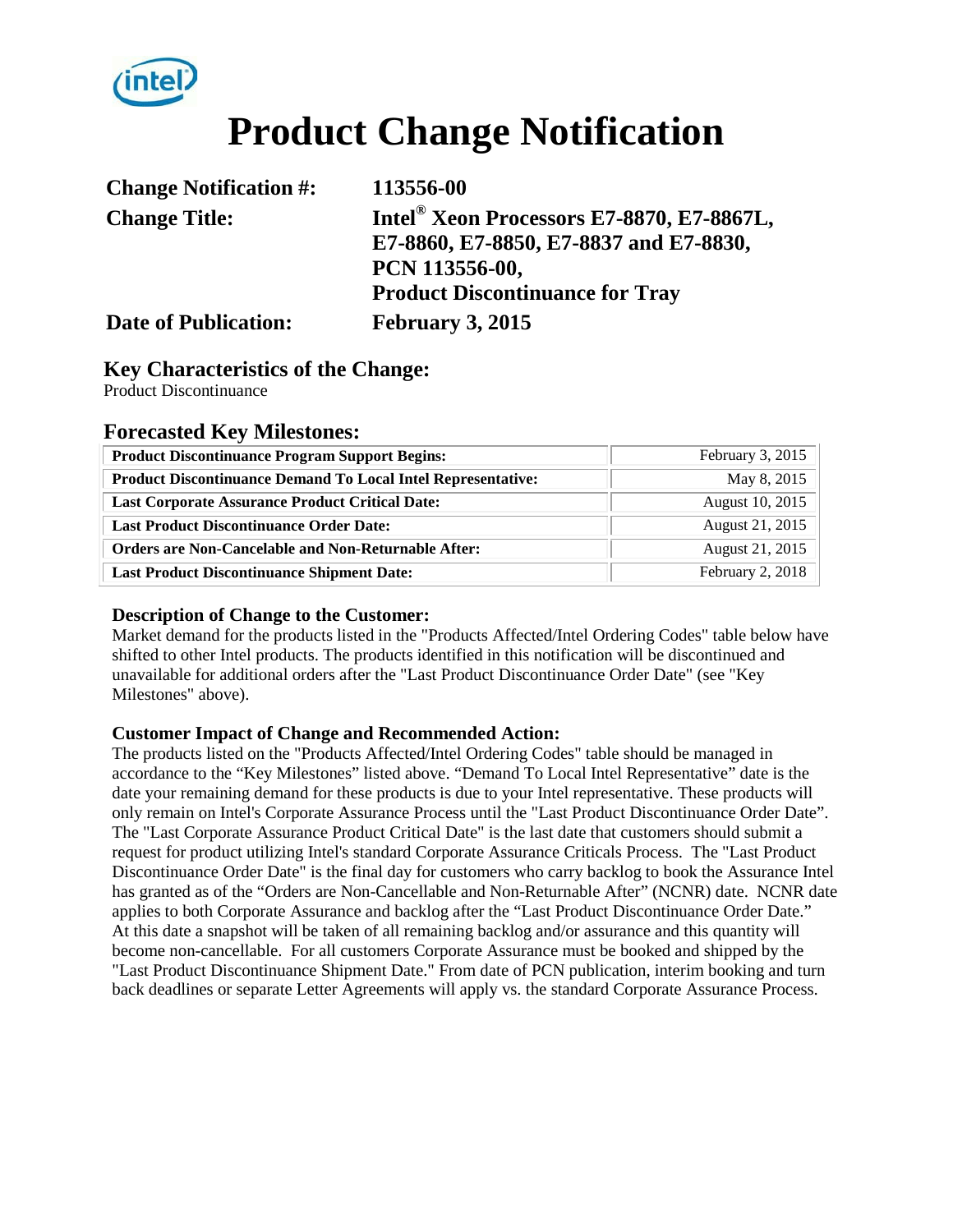

# **Product Change Notification**

| <b>Change Notification #:</b> | 113556-00                                             |
|-------------------------------|-------------------------------------------------------|
| <b>Change Title:</b>          | Intel <sup>®</sup> Xeon Processors E7-8870, E7-8867L, |
|                               | E7-8860, E7-8850, E7-8837 and E7-8830,                |
|                               | PCN 113556-00,                                        |
|                               | <b>Product Discontinuance for Tray</b>                |
| <b>Date of Publication:</b>   | February 3, 2015                                      |

### **Key Characteristics of the Change:**

Product Discontinuance

#### **Forecasted Key Milestones:**

| <b>Product Discontinuance Program Support Begins:</b>               | February 3, 2015 |  |  |
|---------------------------------------------------------------------|------------------|--|--|
| <b>Product Discontinuance Demand To Local Intel Representative:</b> | May 8, 2015      |  |  |
| <b>Last Corporate Assurance Product Critical Date:</b>              | August 10, 2015  |  |  |
| <b>Last Product Discontinuance Order Date:</b>                      | August 21, 2015  |  |  |
| <b>Orders are Non-Cancelable and Non-Returnable After:</b>          | August 21, 2015  |  |  |
| <b>Last Product Discontinuance Shipment Date:</b>                   | February 2, 2018 |  |  |

#### **Description of Change to the Customer:**

Market demand for the products listed in the "Products Affected/Intel Ordering Codes" table below have shifted to other Intel products. The products identified in this notification will be discontinued and unavailable for additional orders after the "Last Product Discontinuance Order Date" (see "Key Milestones" above).

#### **Customer Impact of Change and Recommended Action:**

The products listed on the "Products Affected/Intel Ordering Codes" table should be managed in accordance to the "Key Milestones" listed above. "Demand To Local Intel Representative" date is the date your remaining demand for these products is due to your Intel representative. These products will only remain on Intel's Corporate Assurance Process until the "Last Product Discontinuance Order Date". The "Last Corporate Assurance Product Critical Date" is the last date that customers should submit a request for product utilizing Intel's standard Corporate Assurance Criticals Process. The "Last Product Discontinuance Order Date" is the final day for customers who carry backlog to book the Assurance Intel has granted as of the "Orders are Non-Cancellable and Non-Returnable After" (NCNR) date. NCNR date applies to both Corporate Assurance and backlog after the "Last Product Discontinuance Order Date." At this date a snapshot will be taken of all remaining backlog and/or assurance and this quantity will become non-cancellable. For all customers Corporate Assurance must be booked and shipped by the "Last Product Discontinuance Shipment Date." From date of PCN publication, interim booking and turn back deadlines or separate Letter Agreements will apply vs. the standard Corporate Assurance Process.